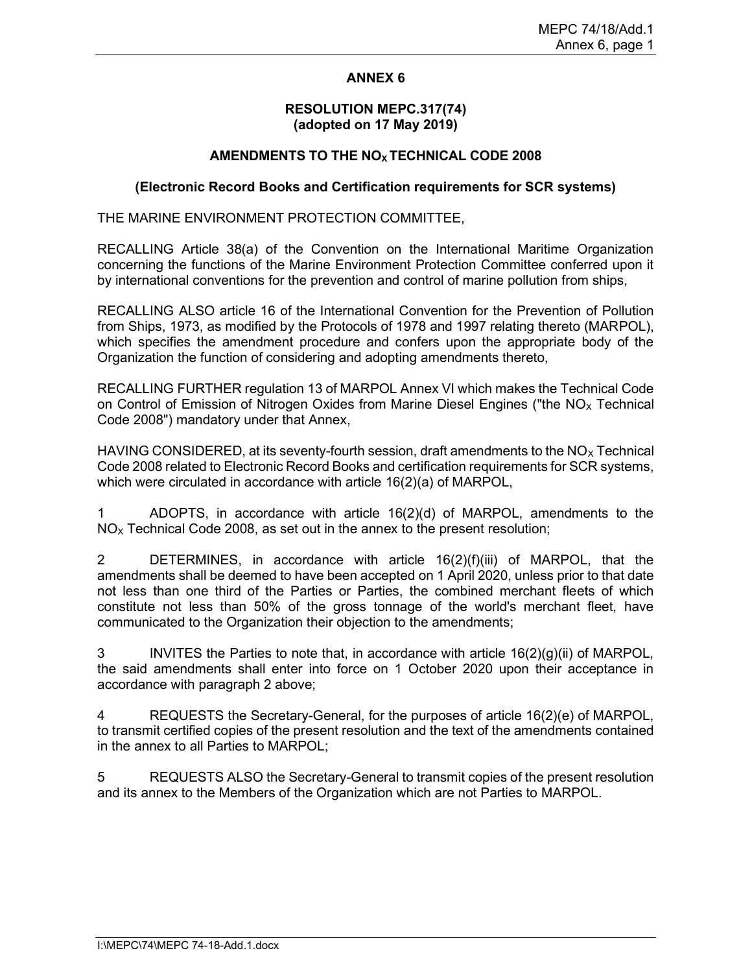# ANNEX 6

# RESOLUTION MEPC.317(74) (adopted on 17 May 2019)

# AMENDMENTS TO THE NO<sub>x</sub> TECHNICAL CODE 2008

# (Electronic Record Books and Certification requirements for SCR systems)

THE MARINE ENVIRONMENT PROTECTION COMMITTEE,

RECALLING Article 38(a) of the Convention on the International Maritime Organization concerning the functions of the Marine Environment Protection Committee conferred upon it by international conventions for the prevention and control of marine pollution from ships,

RECALLING ALSO article 16 of the International Convention for the Prevention of Pollution from Ships, 1973, as modified by the Protocols of 1978 and 1997 relating thereto (MARPOL), which specifies the amendment procedure and confers upon the appropriate body of the Organization the function of considering and adopting amendments thereto,

RECALLING FURTHER regulation 13 of MARPOL Annex VI which makes the Technical Code on Control of Emission of Nitrogen Oxides from Marine Diesel Engines ("the  $NO<sub>x</sub>$  Technical Code 2008") mandatory under that Annex,

HAVING CONSIDERED, at its seventy-fourth session, draft amendments to the  $NO<sub>X</sub>$  Technical Code 2008 related to Electronic Record Books and certification requirements for SCR systems, which were circulated in accordance with article 16(2)(a) of MARPOL,

1 ADOPTS, in accordance with article 16(2)(d) of MARPOL, amendments to the  $NO<sub>x</sub>$  Technical Code 2008, as set out in the annex to the present resolution;

2 DETERMINES, in accordance with article 16(2)(f)(iii) of MARPOL, that the amendments shall be deemed to have been accepted on 1 April 2020, unless prior to that date not less than one third of the Parties or Parties, the combined merchant fleets of which constitute not less than 50% of the gross tonnage of the world's merchant fleet, have communicated to the Organization their objection to the amendments;

3 INVITES the Parties to note that, in accordance with article 16(2)(g)(ii) of MARPOL, the said amendments shall enter into force on 1 October 2020 upon their acceptance in accordance with paragraph 2 above;

4 REQUESTS the Secretary-General, for the purposes of article 16(2)(e) of MARPOL, to transmit certified copies of the present resolution and the text of the amendments contained in the annex to all Parties to MARPOL;

5 REQUESTS ALSO the Secretary-General to transmit copies of the present resolution and its annex to the Members of the Organization which are not Parties to MARPOL.